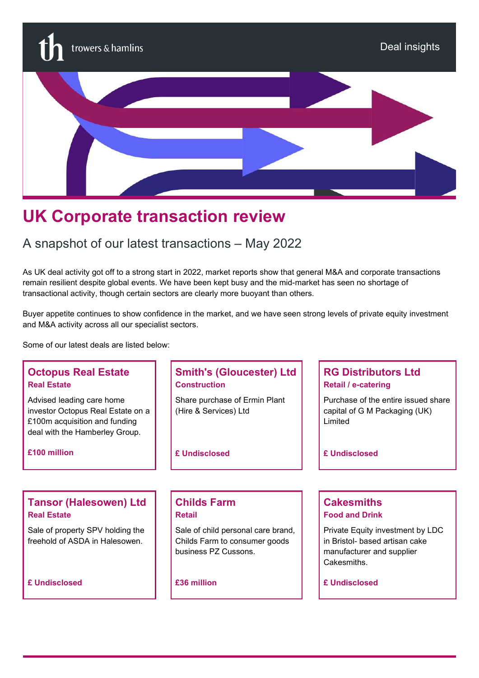

# UK Corporate transaction review

# A snapshot of our latest transactions – May 2022

As UK deal activity got off to a strong start in 2022, market reports show that general M&A and corporate transactions remain resilient despite global events. We have been kept busy and the mid-market has seen no shortage of transactional activity, though certain sectors are clearly more buoyant than others.

Buyer appetite continues to show confidence in the market, and we have seen strong levels of private equity investment and M&A activity across all our specialist sectors.

Some of our latest deals are listed below:

# Octopus Real Estate Real Estate

Advised leading care home investor Octopus Real Estate on a £100m acquisition and funding deal with the Hamberley Group.

£100 million

#### Tansor (Halesowen) Ltd Real Estate

Sale of property SPV holding the freehold of ASDA in Halesowen.

£ Undisclosed

# Smith's (Gloucester) Ltd **Construction**

Share purchase of Ermin Plant (Hire & Services) Ltd

£ Undisclosed

#### Childs Farm Retail

Sale of child personal care brand, Childs Farm to consumer goods business PZ Cussons.

£36 million

### RG Distributors Ltd Retail / e-catering

Purchase of the entire issued share capital of G M Packaging (UK) Limited

£ Undisclosed

#### **Cakesmiths** Food and Drink

Private Equity investment by LDC in Bristol- based artisan cake manufacturer and supplier Cakesmiths.

£ Undisclosed